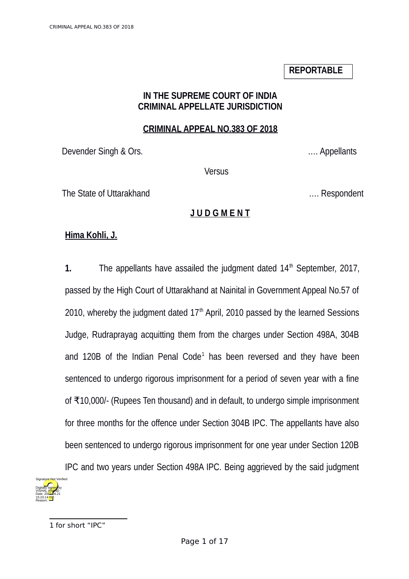## **REPORTABLE**

#### **IN THE SUPREME COURT OF INDIA CRIMINAL APPELLATE JURISDICTION**

#### **CRIMINAL APPEAL NO.383 OF 2018**

Devender Singh & Ors. .… Appellants

**Versus** 

The State of Uttarakhand **Exercise 2018** 2019 11: Respondent

## **J U D G M E N T**

## **Hima Kohli, J.**

**1.** The appellants have assailed the judgment dated 14<sup>th</sup> September, 2017, passed by the High Court of Uttarakhand at Nainital in Government Appeal No.57 of 2010, whereby the judgment dated  $17<sup>th</sup>$  April, 2010 passed by the learned Sessions Judge, Rudraprayag acquitting them from the charges under Section 498A, 304B and [1](#page-0-0)20B of the Indian Penal Code<sup>1</sup> has been reversed and they have been sentenced to undergo rigorous imprisonment for a period of seven year with a fine of ₹10,000/- (Rupees Ten thousand) and in default, to undergo simple imprisonment for three months for the offence under Section 304B IPC. The appellants have also been sentenced to undergo rigorous imprisonment for one year under Section 120B IPC and two years under Section 498A IPC. Being aggrieved by the said judgment

<span id="page-0-0"></span>

<sup>1</sup> for short "IPC"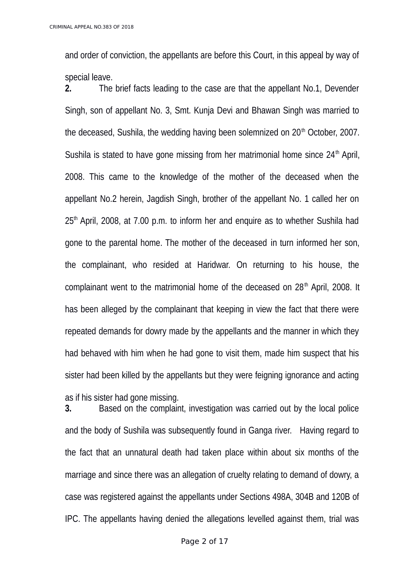and order of conviction, the appellants are before this Court, in this appeal by way of special leave.

**2.** The brief facts leading to the case are that the appellant No.1, Devender Singh, son of appellant No. 3, Smt. Kunja Devi and Bhawan Singh was married to the deceased, Sushila, the wedding having been solemnized on  $20<sup>th</sup>$  October, 2007. Sushila is stated to have gone missing from her matrimonial home since  $24<sup>th</sup>$  April, 2008. This came to the knowledge of the mother of the deceased when the appellant No.2 herein, Jagdish Singh, brother of the appellant No. 1 called her on  $25<sup>th</sup>$  April, 2008, at 7.00 p.m. to inform her and enquire as to whether Sushila had gone to the parental home. The mother of the deceased in turn informed her son, the complainant, who resided at Haridwar. On returning to his house, the complainant went to the matrimonial home of the deceased on 28<sup>th</sup> April, 2008. It has been alleged by the complainant that keeping in view the fact that there were repeated demands for dowry made by the appellants and the manner in which they had behaved with him when he had gone to visit them, made him suspect that his sister had been killed by the appellants but they were feigning ignorance and acting as if his sister had gone missing.

**3.** Based on the complaint, investigation was carried out by the local police and the body of Sushila was subsequently found in Ganga river. Having regard to the fact that an unnatural death had taken place within about six months of the marriage and since there was an allegation of cruelty relating to demand of dowry, a case was registered against the appellants under Sections 498A, 304B and 120B of IPC. The appellants having denied the allegations levelled against them, trial was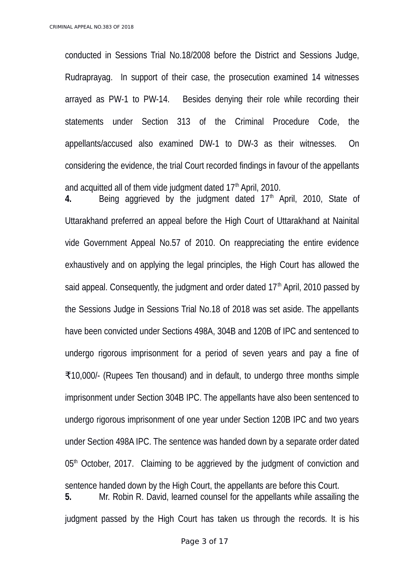conducted in Sessions Trial No.18/2008 before the District and Sessions Judge, Rudraprayag. In support of their case, the prosecution examined 14 witnesses arrayed as PW-1 to PW-14. Besides denying their role while recording their statements under Section 313 of the Criminal Procedure Code, the appellants/accused also examined DW-1 to DW-3 as their witnesses. On considering the evidence, the trial Court recorded findings in favour of the appellants and acquitted all of them vide judgment dated  $17<sup>th</sup>$  April, 2010.

4. Being aggrieved by the judgment dated 17<sup>th</sup> April, 2010, State of Uttarakhand preferred an appeal before the High Court of Uttarakhand at Nainital vide Government Appeal No.57 of 2010. On reappreciating the entire evidence exhaustively and on applying the legal principles, the High Court has allowed the said appeal. Consequently, the judgment and order dated  $17<sup>th</sup>$  April, 2010 passed by the Sessions Judge in Sessions Trial No.18 of 2018 was set aside. The appellants have been convicted under Sections 498A, 304B and 120B of IPC and sentenced to undergo rigorous imprisonment for a period of seven years and pay a fine of ₹10,000/- (Rupees Ten thousand) and in default, to undergo three months simple imprisonment under Section 304B IPC. The appellants have also been sentenced to undergo rigorous imprisonment of one year under Section 120B IPC and two years under Section 498A IPC. The sentence was handed down by a separate order dated  $05<sup>th</sup>$  October, 2017. Claiming to be aggrieved by the judgment of conviction and sentence handed down by the High Court, the appellants are before this Court. **5.** Mr. Robin R. David, learned counsel for the appellants while assailing the

judgment passed by the High Court has taken us through the records. It is his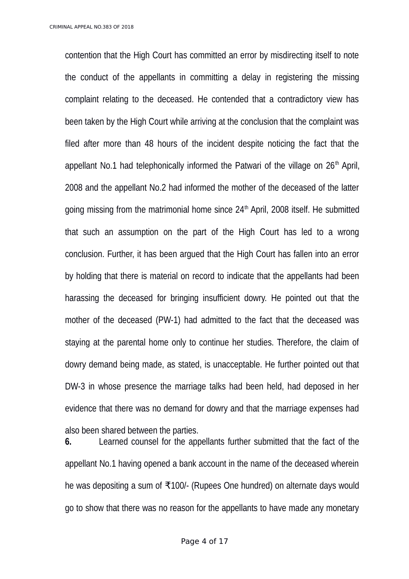contention that the High Court has committed an error by misdirecting itself to note the conduct of the appellants in committing a delay in registering the missing complaint relating to the deceased. He contended that a contradictory view has been taken by the High Court while arriving at the conclusion that the complaint was filed after more than 48 hours of the incident despite noticing the fact that the appellant No.1 had telephonically informed the Patwari of the village on  $26<sup>th</sup>$  April, 2008 and the appellant No.2 had informed the mother of the deceased of the latter going missing from the matrimonial home since  $24<sup>th</sup>$  April, 2008 itself. He submitted that such an assumption on the part of the High Court has led to a wrong conclusion. Further, it has been argued that the High Court has fallen into an error by holding that there is material on record to indicate that the appellants had been harassing the deceased for bringing insufficient dowry. He pointed out that the mother of the deceased (PW-1) had admitted to the fact that the deceased was staying at the parental home only to continue her studies. Therefore, the claim of dowry demand being made, as stated, is unacceptable. He further pointed out that DW-3 in whose presence the marriage talks had been held, had deposed in her evidence that there was no demand for dowry and that the marriage expenses had also been shared between the parties.

**6.** Learned counsel for the appellants further submitted that the fact of the appellant No.1 having opened a bank account in the name of the deceased wherein he was depositing a sum of ₹100/- (Rupees One hundred) on alternate days would go to show that there was no reason for the appellants to have made any monetary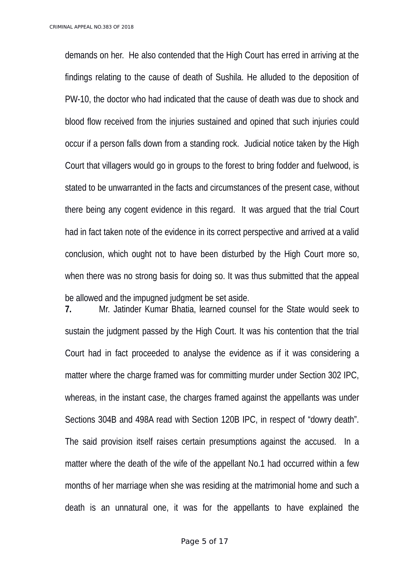demands on her. He also contended that the High Court has erred in arriving at the findings relating to the cause of death of Sushila. He alluded to the deposition of PW-10, the doctor who had indicated that the cause of death was due to shock and blood flow received from the injuries sustained and opined that such injuries could occur if a person falls down from a standing rock. Judicial notice taken by the High Court that villagers would go in groups to the forest to bring fodder and fuelwood, is stated to be unwarranted in the facts and circumstances of the present case, without there being any cogent evidence in this regard. It was argued that the trial Court had in fact taken note of the evidence in its correct perspective and arrived at a valid conclusion, which ought not to have been disturbed by the High Court more so, when there was no strong basis for doing so. It was thus submitted that the appeal be allowed and the impugned judgment be set aside.

**7.** Mr. Jatinder Kumar Bhatia, learned counsel for the State would seek to sustain the judgment passed by the High Court. It was his contention that the trial Court had in fact proceeded to analyse the evidence as if it was considering a matter where the charge framed was for committing murder under Section 302 IPC, whereas, in the instant case, the charges framed against the appellants was under Sections 304B and 498A read with Section 120B IPC, in respect of "dowry death". The said provision itself raises certain presumptions against the accused. In a matter where the death of the wife of the appellant No.1 had occurred within a few months of her marriage when she was residing at the matrimonial home and such a death is an unnatural one, it was for the appellants to have explained the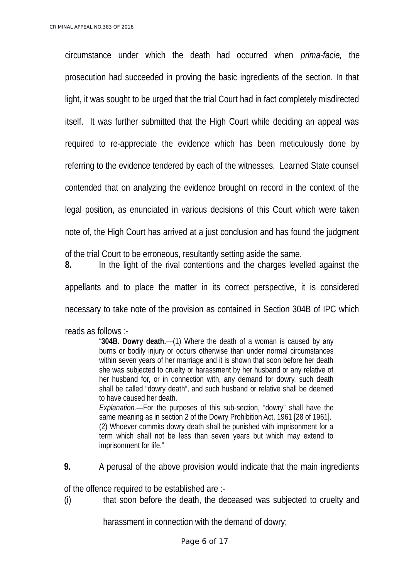circumstance under which the death had occurred when *prima-facie,* the prosecution had succeeded in proving the basic ingredients of the section. In that light, it was sought to be urged that the trial Court had in fact completely misdirected itself. It was further submitted that the High Court while deciding an appeal was required to re-appreciate the evidence which has been meticulously done by referring to the evidence tendered by each of the witnesses. Learned State counsel contended that on analyzing the evidence brought on record in the context of the legal position, as enunciated in various decisions of this Court which were taken note of, the High Court has arrived at a just conclusion and has found the judgment of the trial Court to be erroneous, resultantly setting aside the same. **8.** In the light of the rival contentions and the charges levelled against the

appellants and to place the matter in its correct perspective, it is considered necessary to take note of the provision as contained in Section 304B of IPC which

reads as follows :-

"**304B. Dowry death.**—(1) Where the death of a woman is caused by any burns or bodily injury or occurs otherwise than under normal circumstances within seven years of her marriage and it is shown that soon before her death she was subjected to cruelty or harassment by her husband or any relative of her husband for, or in connection with, any demand for dowry, such death shall be called "dowry death", and such husband or relative shall be deemed to have caused her death.

*Explanation.*—For the purposes of this sub-section, "dowry" shall have the same meaning as in section 2 of the Dowry Prohibition Act, 1961 [28 of 1961]. (2) Whoever commits dowry death shall be punished with imprisonment for a term which shall not be less than seven years but which may extend to imprisonment for life."

**9.** A perusal of the above provision would indicate that the main ingredients

of the offence required to be established are :-

(i) that soon before the death, the deceased was subjected to cruelty and

harassment in connection with the demand of dowry;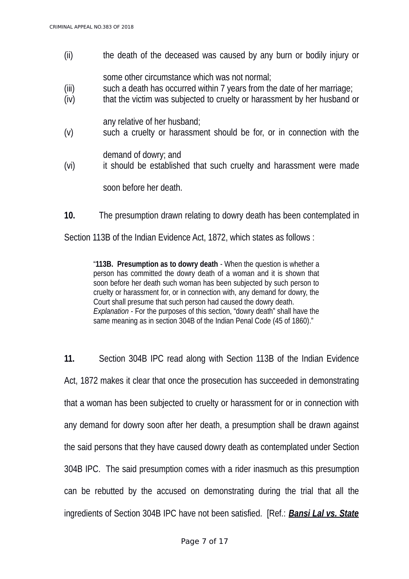(ii) the death of the deceased was caused by any burn or bodily injury or

some other circumstance which was not normal;

- (iii) such a death has occurred within 7 years from the date of her marriage;
- (iv) that the victim was subjected to cruelty or harassment by her husband or

any relative of her husband;

(v) such a cruelty or harassment should be for, or in connection with the

demand of dowry; and

(vi) it should be established that such cruelty and harassment were made

soon before her death.

**10.** The presumption drawn relating to dowry death has been contemplated in

Section 113B of the Indian Evidence Act, 1872, which states as follows :

"**113B. Presumption as to dowry death** - When the question is whether a person has committed the dowry death of a woman and it is shown that soon before her death such woman has been subjected by such person to cruelty or harassment for, or in connection with, any demand for dowry, the Court shall presume that such person had caused the dowry death. *Explanation* - For the purposes of this section, "dowry death" shall have the same meaning as in section 304B of the Indian Penal Code (45 of 1860)."

**11.** Section 304B IPC read along with Section 113B of the Indian Evidence Act, 1872 makes it clear that once the prosecution has succeeded in demonstrating that a woman has been subjected to cruelty or harassment for or in connection with any demand for dowry soon after her death, a presumption shall be drawn against the said persons that they have caused dowry death as contemplated under Section 304B IPC. The said presumption comes with a rider inasmuch as this presumption can be rebutted by the accused on demonstrating during the trial that all the ingredients of Section 304B IPC have not been satisfied. [Ref.: *Bansi Lal vs. State*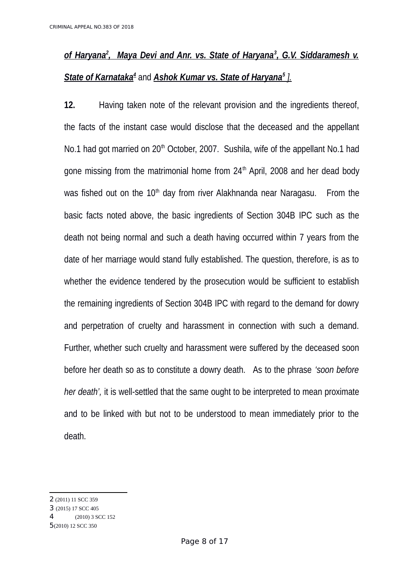# <u>of Haryana<sup>2</sup>, Maya Devi and Anr. vs. State of Haryana<sup>3</sup>, G.V. Siddaramesh v.</u>  *State of Karnataka[4](#page-7-2)* and *Ashok Kumar vs. State of Haryana<sup>5</sup> ].*

**12.** Having taken note of the relevant provision and the ingredients thereof, the facts of the instant case would disclose that the deceased and the appellant No.1 had got married on  $20<sup>th</sup>$  October, 2007. Sushila, wife of the appellant No.1 had gone missing from the matrimonial home from  $24<sup>th</sup>$  April, 2008 and her dead body was fished out on the  $10<sup>th</sup>$  day from river Alakhnanda near Naragasu. From the basic facts noted above, the basic ingredients of Section 304B IPC such as the death not being normal and such a death having occurred within 7 years from the date of her marriage would stand fully established. The question, therefore, is as to whether the evidence tendered by the prosecution would be sufficient to establish the remaining ingredients of Section 304B IPC with regard to the demand for dowry and perpetration of cruelty and harassment in connection with such a demand. Further, whether such cruelty and harassment were suffered by the deceased soon before her death so as to constitute a dowry death. As to the phrase *'soon before her death',* it is well-settled that the same ought to be interpreted to mean proximate and to be linked with but not to be understood to mean immediately prior to the death.

<span id="page-7-0"></span><sup>2</sup> (2011) 11 SCC 359

<span id="page-7-1"></span><sup>3</sup> (2015) 17 SCC 405

<span id="page-7-2"></span><sup>4</sup> (2010) 3 SCC 152

<span id="page-7-3"></span><sup>5</sup>(2010) 12 SCC 350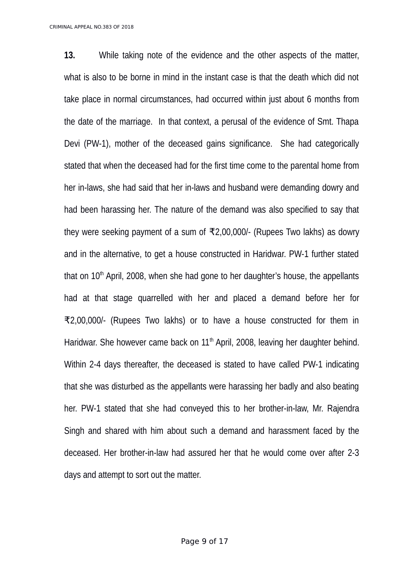**13.** While taking note of the evidence and the other aspects of the matter, what is also to be borne in mind in the instant case is that the death which did not take place in normal circumstances, had occurred within just about 6 months from the date of the marriage. In that context, a perusal of the evidence of Smt. Thapa Devi (PW-1), mother of the deceased gains significance. She had categorically stated that when the deceased had for the first time come to the parental home from her in-laws, she had said that her in-laws and husband were demanding dowry and had been harassing her. The nature of the demand was also specified to say that they were seeking payment of a sum of ₹2,00,000/- (Rupees Two lakhs) as dowry and in the alternative, to get a house constructed in Haridwar. PW-1 further stated that on  $10<sup>th</sup>$  April, 2008, when she had gone to her daughter's house, the appellants had at that stage quarrelled with her and placed a demand before her for ₹2,00,000/- (Rupees Two lakhs) or to have a house constructed for them in Haridwar. She however came back on  $11<sup>th</sup>$  April, 2008, leaving her daughter behind. Within 2-4 days thereafter, the deceased is stated to have called PW-1 indicating that she was disturbed as the appellants were harassing her badly and also beating her. PW-1 stated that she had conveyed this to her brother-in-law, Mr. Rajendra Singh and shared with him about such a demand and harassment faced by the deceased. Her brother-in-law had assured her that he would come over after 2-3 days and attempt to sort out the matter.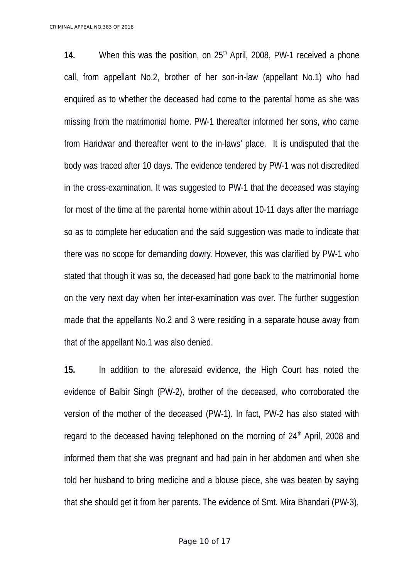**14.** When this was the position, on 25<sup>th</sup> April, 2008, PW-1 received a phone call, from appellant No.2, brother of her son-in-law (appellant No.1) who had enquired as to whether the deceased had come to the parental home as she was missing from the matrimonial home. PW-1 thereafter informed her sons, who came from Haridwar and thereafter went to the in-laws' place. It is undisputed that the body was traced after 10 days. The evidence tendered by PW-1 was not discredited in the cross-examination. It was suggested to PW-1 that the deceased was staying for most of the time at the parental home within about 10-11 days after the marriage so as to complete her education and the said suggestion was made to indicate that there was no scope for demanding dowry. However, this was clarified by PW-1 who stated that though it was so, the deceased had gone back to the matrimonial home on the very next day when her inter-examination was over. The further suggestion made that the appellants No.2 and 3 were residing in a separate house away from that of the appellant No.1 was also denied.

**15.** In addition to the aforesaid evidence, the High Court has noted the evidence of Balbir Singh (PW-2), brother of the deceased, who corroborated the version of the mother of the deceased (PW-1). In fact, PW-2 has also stated with regard to the deceased having telephoned on the morning of 24<sup>th</sup> April, 2008 and informed them that she was pregnant and had pain in her abdomen and when she told her husband to bring medicine and a blouse piece, she was beaten by saying that she should get it from her parents. The evidence of Smt. Mira Bhandari (PW-3),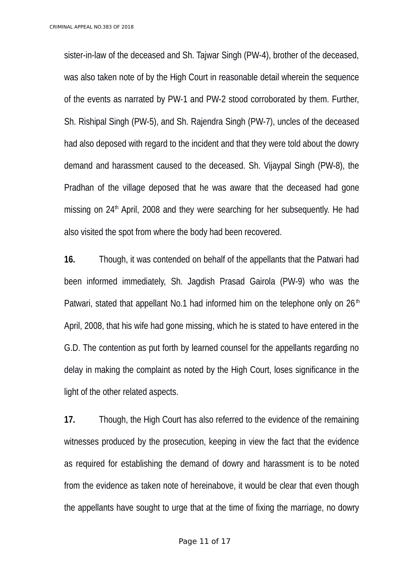sister-in-law of the deceased and Sh. Tajwar Singh (PW-4), brother of the deceased, was also taken note of by the High Court in reasonable detail wherein the sequence of the events as narrated by PW-1 and PW-2 stood corroborated by them. Further, Sh. Rishipal Singh (PW-5), and Sh. Rajendra Singh (PW-7), uncles of the deceased had also deposed with regard to the incident and that they were told about the dowry demand and harassment caused to the deceased. Sh. Vijaypal Singh (PW-8), the Pradhan of the village deposed that he was aware that the deceased had gone missing on  $24<sup>th</sup>$  April, 2008 and they were searching for her subsequently. He had also visited the spot from where the body had been recovered.

**16.** Though, it was contended on behalf of the appellants that the Patwari had been informed immediately, Sh. Jagdish Prasad Gairola (PW-9) who was the Patwari, stated that appellant No.1 had informed him on the telephone only on  $26<sup>th</sup>$ April, 2008, that his wife had gone missing, which he is stated to have entered in the G.D. The contention as put forth by learned counsel for the appellants regarding no delay in making the complaint as noted by the High Court, loses significance in the light of the other related aspects.

**17.** Though, the High Court has also referred to the evidence of the remaining witnesses produced by the prosecution, keeping in view the fact that the evidence as required for establishing the demand of dowry and harassment is to be noted from the evidence as taken note of hereinabove, it would be clear that even though the appellants have sought to urge that at the time of fixing the marriage, no dowry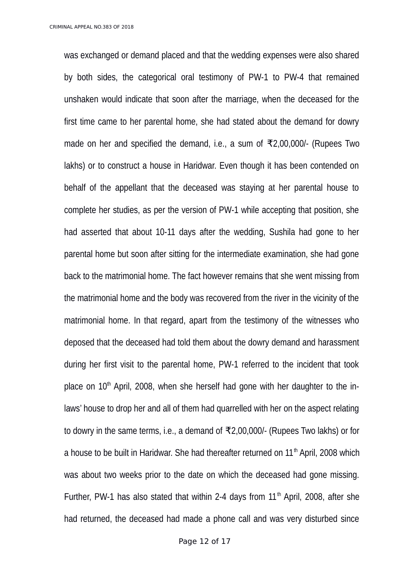was exchanged or demand placed and that the wedding expenses were also shared by both sides, the categorical oral testimony of PW-1 to PW-4 that remained unshaken would indicate that soon after the marriage, when the deceased for the first time came to her parental home, she had stated about the demand for dowry made on her and specified the demand, i.e., a sum of ₹2,00,000/- (Rupees Two lakhs) or to construct a house in Haridwar. Even though it has been contended on behalf of the appellant that the deceased was staying at her parental house to complete her studies, as per the version of PW-1 while accepting that position, she had asserted that about 10-11 days after the wedding, Sushila had gone to her parental home but soon after sitting for the intermediate examination, she had gone back to the matrimonial home. The fact however remains that she went missing from the matrimonial home and the body was recovered from the river in the vicinity of the matrimonial home. In that regard, apart from the testimony of the witnesses who deposed that the deceased had told them about the dowry demand and harassment during her first visit to the parental home, PW-1 referred to the incident that took place on  $10<sup>th</sup>$  April, 2008, when she herself had gone with her daughter to the inlaws' house to drop her and all of them had quarrelled with her on the aspect relating to dowry in the same terms, i.e., a demand of ₹2,00,000/- (Rupees Two lakhs) or for a house to be built in Haridwar. She had thereafter returned on  $11<sup>th</sup>$  April, 2008 which was about two weeks prior to the date on which the deceased had gone missing. Further, PW-1 has also stated that within 2-4 days from  $11<sup>th</sup>$  April, 2008, after she had returned, the deceased had made a phone call and was very disturbed since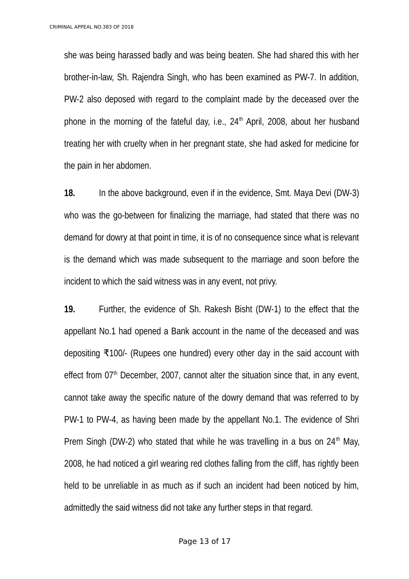she was being harassed badly and was being beaten. She had shared this with her brother-in-law, Sh. Rajendra Singh, who has been examined as PW-7. In addition, PW-2 also deposed with regard to the complaint made by the deceased over the phone in the morning of the fateful day, i.e.,  $24<sup>th</sup>$  April, 2008, about her husband treating her with cruelty when in her pregnant state, she had asked for medicine for the pain in her abdomen.

**18.** In the above background, even if in the evidence, Smt. Maya Devi (DW-3) who was the go-between for finalizing the marriage, had stated that there was no demand for dowry at that point in time, it is of no consequence since what is relevant is the demand which was made subsequent to the marriage and soon before the incident to which the said witness was in any event, not privy.

**19.** Further, the evidence of Sh. Rakesh Bisht (DW-1) to the effect that the appellant No.1 had opened a Bank account in the name of the deceased and was depositing ₹100/- (Rupees one hundred) every other day in the said account with effect from  $07<sup>th</sup>$  December, 2007, cannot alter the situation since that, in any event, cannot take away the specific nature of the dowry demand that was referred to by PW-1 to PW-4, as having been made by the appellant No.1. The evidence of Shri Prem Singh (DW-2) who stated that while he was travelling in a bus on  $24<sup>th</sup>$  May, 2008, he had noticed a girl wearing red clothes falling from the cliff, has rightly been held to be unreliable in as much as if such an incident had been noticed by him, admittedly the said witness did not take any further steps in that regard.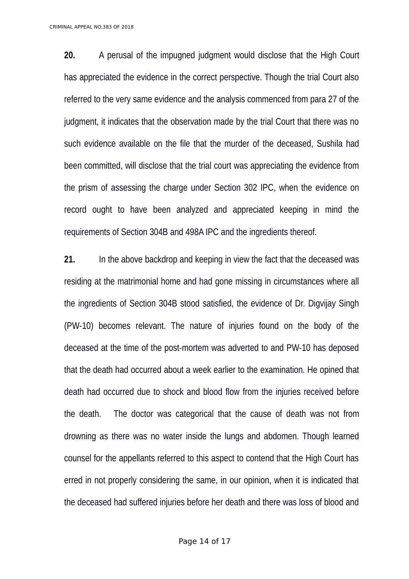**20.** A perusal of the impugned judgment would disclose that the High Court has appreciated the evidence in the correct perspective. Though the trial Court also referred to the very same evidence and the analysis commenced from para 27 of the judgment, it indicates that the observation made by the trial Court that there was no such evidence available on the file that the murder of the deceased, Sushila had been committed, will disclose that the trial court was appreciating the evidence from the prism of assessing the charge under Section 302 IPC, when the evidence on record ought to have been analyzed and appreciated keeping in mind the requirements of Section 304B and 498A IPC and the ingredients thereof.

**21.** In the above backdrop and keeping in view the fact that the deceased was residing at the matrimonial home and had gone missing in circumstances where all the ingredients of Section 304B stood satisfied, the evidence of Dr. Digvijay Singh (PW-10) becomes relevant. The nature of injuries found on the body of the deceased at the time of the post-mortem was adverted to and PW-10 has deposed that the death had occurred about a week earlier to the examination. He opined that death had occurred due to shock and blood flow from the injuries received before the death. The doctor was categorical that the cause of death was not from drowning as there was no water inside the lungs and abdomen. Though learned counsel for the appellants referred to this aspect to contend that the High Court has erred in not properly considering the same, in our opinion, when it is indicated that the deceased had suffered injuries before her death and there was loss of blood and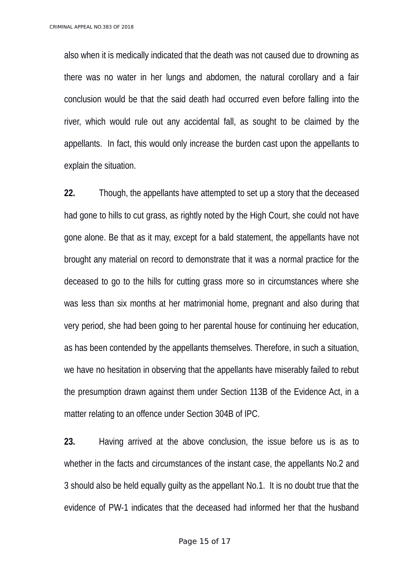also when it is medically indicated that the death was not caused due to drowning as there was no water in her lungs and abdomen, the natural corollary and a fair conclusion would be that the said death had occurred even before falling into the river, which would rule out any accidental fall, as sought to be claimed by the appellants. In fact, this would only increase the burden cast upon the appellants to explain the situation.

**22.** Though, the appellants have attempted to set up a story that the deceased had gone to hills to cut grass, as rightly noted by the High Court, she could not have gone alone. Be that as it may, except for a bald statement, the appellants have not brought any material on record to demonstrate that it was a normal practice for the deceased to go to the hills for cutting grass more so in circumstances where she was less than six months at her matrimonial home, pregnant and also during that very period, she had been going to her parental house for continuing her education, as has been contended by the appellants themselves. Therefore, in such a situation, we have no hesitation in observing that the appellants have miserably failed to rebut the presumption drawn against them under Section 113B of the Evidence Act, in a matter relating to an offence under Section 304B of IPC.

**23.** Having arrived at the above conclusion, the issue before us is as to whether in the facts and circumstances of the instant case, the appellants No.2 and 3 should also be held equally guilty as the appellant No.1. It is no doubt true that the evidence of PW-1 indicates that the deceased had informed her that the husband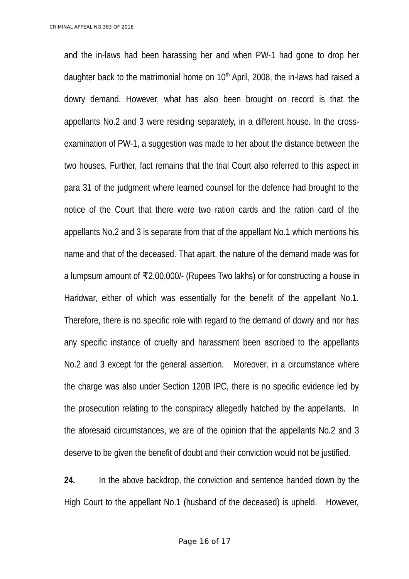and the in-laws had been harassing her and when PW-1 had gone to drop her daughter back to the matrimonial home on  $10<sup>th</sup>$  April, 2008, the in-laws had raised a dowry demand. However, what has also been brought on record is that the appellants No.2 and 3 were residing separately, in a different house. In the crossexamination of PW-1, a suggestion was made to her about the distance between the two houses. Further, fact remains that the trial Court also referred to this aspect in para 31 of the judgment where learned counsel for the defence had brought to the notice of the Court that there were two ration cards and the ration card of the appellants No.2 and 3 is separate from that of the appellant No.1 which mentions his name and that of the deceased. That apart, the nature of the demand made was for a lumpsum amount of ₹2,00,000/- (Rupees Two lakhs) or for constructing a house in Haridwar, either of which was essentially for the benefit of the appellant No.1. Therefore, there is no specific role with regard to the demand of dowry and nor has any specific instance of cruelty and harassment been ascribed to the appellants No.2 and 3 except for the general assertion. Moreover, in a circumstance where the charge was also under Section 120B IPC, there is no specific evidence led by the prosecution relating to the conspiracy allegedly hatched by the appellants. In the aforesaid circumstances, we are of the opinion that the appellants No.2 and 3 deserve to be given the benefit of doubt and their conviction would not be justified.

**24.** In the above backdrop, the conviction and sentence handed down by the High Court to the appellant No.1 (husband of the deceased) is upheld. However,